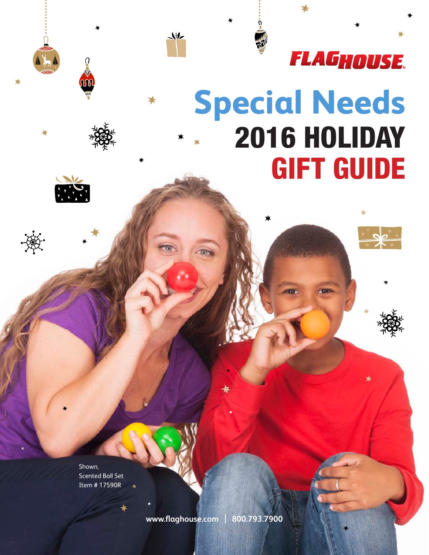

# **Special Needs**  2016 HOLIDAY GIFT GUIDE



**OOO** 

 $\star$ 

Shown, Scented Ball Set Item # 17590R

**www.flaghouse.com** | **800.793.7900**

 $\sqrt{2}$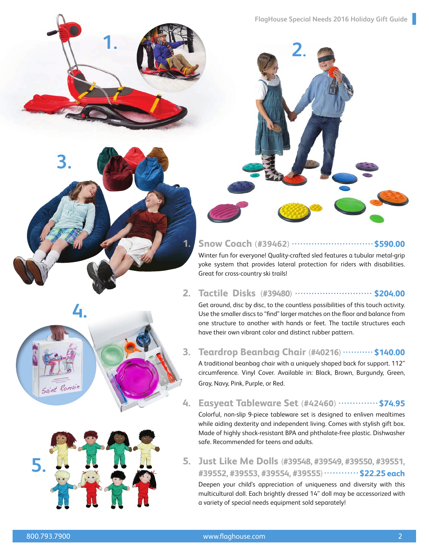



#### **1. Snow Coach** (#39462) **..................................\$590.00**

[Winter fun for everyone! Quality-crafted sled features a tubular metal-grip](http://www.flaghouse.com/Recreation/Bikes-Ride-Ons/Ride-Ons/Snow-Coach.axd)  yoke system that provides lateral protection for riders with disabilities. Great for cross-country ski trails!

#### **2. Tactile Disks** (#39480) **......................... \$204.00**

Get around, disc by disc, to the countless possibilities of this touch activity. Use the smaller discs to "find" larger matches on the floor and balance from [one structure to another with hands or feet. The tactile structures each](http://www.flaghouse.com/Motor-Skills/Balance/Tactile-Discs.axd)  have their own vibrant color and distinct rubber pattern.

#### **3. Teardrop Beanbag Chair** (**#40216**) **\$140.00**

[A traditional beanbag chair with a uniquely shaped back for support. 112"](http://www.flaghouse.com/Sensory-Solutions/Proprioception/Bean-Bag-Chairs/Teardrop-Beanbag-Chair.axd)  circumference. Vinyl Cover. Available in: Black, Brown, Burgundy, Green, Gray, Navy, Pink, Purple, or Red.

#### **4. Easyeat Tableware Set (#42460)**  $\cdots$  **\$74.95**

[Colorful, non-slip 9-piece tableware set is designed to enliven mealtimes](http://www.flaghouse.com/SN-New-2016/Easyeat-Tableware-Set.axd)  while aiding dexterity and independent living. Comes with stylish gift box. Made of highly shock-resistant BPA and phthalate-free plastic. Dishwasher safe. Recommended for teens and adults.

#### **5. Just Like Me Dolls** (**#39548, #39549, #39550, #39551, #39552, #39553, #39554, #39555**) **\$22.25 each**

[Deepen your child's appreciation of uniqueness and diversity with this](http://www.flaghouse.com/shop.aspx/Search?keywords=just+like+me+dolls)  multicultural doll. Each brightly dressed 14" doll may be accessorized with a variety of special needs equipment sold separately!



**[4.](http://www.flaghouse.com/SN-New-2016/Easyeat-Tableware-Set.axd)**

Saint Romain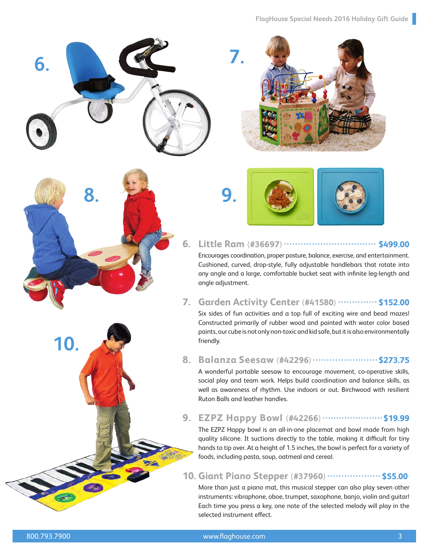





#### **6. Little Ram** (**#36697**) **\$499.00**

[Encourages coordination, proper posture, balance, exercise, and entertainment.](http://www.flaghouse.com/Recreation/Bikes-Ride-Ons/Adapted-Bikes/Little-Ram---Small.axd)  Cushioned, curved, drop-style, fully adjustable handlebars that rotate into any angle and a large, comfortable bucket seat with infinite leg-length and angle adjustment.

#### **7. Garden Activity Center (#41580)**  $\cdots$  **\$152.00**

[Six sides of fun activities and a top full of exciting wire and bead mazes!](http://www.flaghouse.com/Motor-Skills/Fine-Motor/Manipulatives/Garden-Activity-Center.axd)  Constructed primarily of rubber wood and painted with water color based paints, our cube is not only non-toxic and kid safe, but it is also environmentally friendly.

#### **8. Balanza Seesaw** (**#42296**) **\$273.75**

A wonderful portable seesaw to encourage movement, co-operative skills, [social play and team work. Helps build coordination and balance skills, as](http://www.flaghouse.com/Motor-Skills/Balance/Balanza-Seesaw.axd)  well as awareness of rhythm. Use indoors or out. Birchwood with resilient Ruton Balls and leather handles.

#### **9. EZPZ Happy Bowl** (#42266)  $\cdots$  $\cdots$  $\cdots$  $\cdots$  \$19.99

The EZPZ Happy bowl is an all-in-one placemat and bowl made from high quality silicone. It suctions directly to the table, making it difficult for tiny [hands to tip over. At a height of 1.5 inches, the bowl is perfect for a variety of](http://www.flaghouse.com/Daily-Living/Feeding/EZPZ-Happy-Bowl.axd)  foods, including pasta, soup, oatmeal and cereal.

#### **10. Giant Piano Stepper (#37960)**  $\cdots$  $\cdots$  $\cdots$  **\$55.00**

[More than just a piano mat, this musical stepper can also play seven other](http://www.flaghouse.com/Physical-Education/Dance-Rhythm-Music/Giant-Piano-Stepper.axd)  instruments: vibraphone, oboe, trumpet, saxophone, banjo, violin and guitar! Each time you press a key, one note of the selected melody will play in the selected instrument effect.